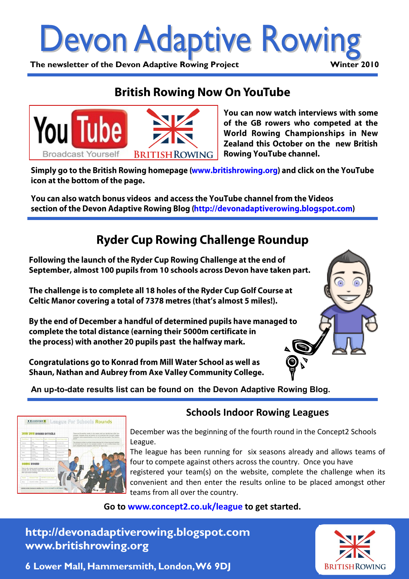

## **British Rowing Now On YouTube**



You can now watch interviews with some of the GB rowers who competed at the World Rowing Championships in New Zealand this October on the new British **Rowing YouTube channel.** 

Simply go to the British Rowing homepage (www.britishrowing.org) and click on the YouTube icon at the bottom of the page.

You can also watch bonus videos and access the YouTube channel from the Videos section of the Devon Adaptive Rowing Blog (http://devonadaptiverowing.blogspot.com)

## **Ryder Cup Rowing Challenge Roundup**

Following the launch of the Ryder Cup Rowing Challenge at the end of September, almost 100 pupils from 10 schools across Devon have taken part.

The challenge is to complete all 18 holes of the Ryder Cup Golf Course at Celtic Manor covering a total of 7378 metres (that's almost 5 miles!).

By the end of December a handful of determined pupils have managed to complete the total distance (earning their 5000m certificate in the process) with another 20 pupils past the halfway mark.

Congratulations go to Konrad from Mill Water School as well as Shaun, Nathan and Aubrey from Axe Valley Community College.



 **An up-to-date results list can be found on the Devon Adaptive Rowing Blog.**



### **Schools Indoor Rowing Leagues**

December was the beginning of the fourth round in the Concept2 Schools League.

The league has been running for six seasons already and allows teams of four to compete against others across the country. Once you have registered your team(s) on the website, complete the challenge when its convenient and then enter the results online to be placed amongst other teams from all over the country.

#### **Go to www.concept2.co.uk/league to get started.**

**http://devonadaptiverowing.blogspot.com www.britishrowing.org**

**BRITISH ROWING** 

**6 Lower Mall, Hammersmith, London, W6 9DJ**